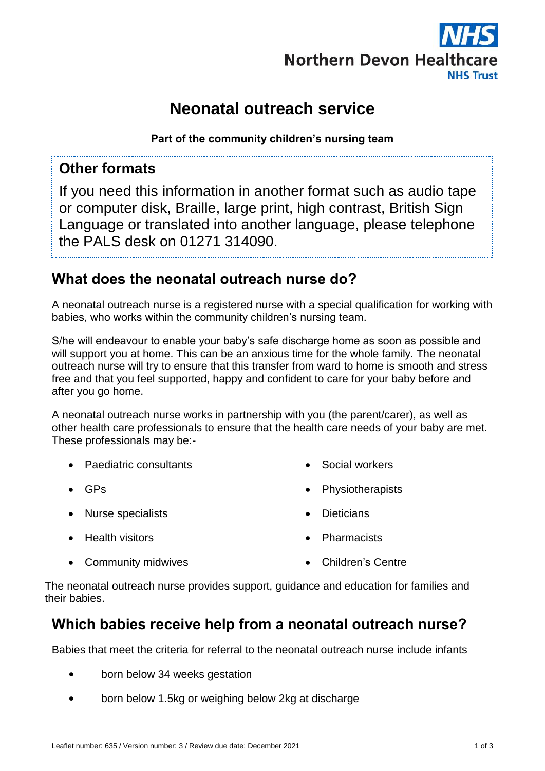

# **Neonatal outreach service**

**Part of the community children's nursing team**

#### **Other formats**

If you need this information in another format such as audio tape or computer disk, Braille, large print, high contrast, British Sign Language or translated into another language, please telephone the PALS desk on 01271 314090.

## **What does the neonatal outreach nurse do?**

A neonatal outreach nurse is a registered nurse with a special qualification for working with babies, who works within the community children's nursing team.

S/he will endeavour to enable your baby's safe discharge home as soon as possible and will support you at home. This can be an anxious time for the whole family. The neonatal outreach nurse will try to ensure that this transfer from ward to home is smooth and stress free and that you feel supported, happy and confident to care for your baby before and after you go home.

A neonatal outreach nurse works in partnership with you (the parent/carer), as well as other health care professionals to ensure that the health care needs of your baby are met. These professionals may be:-

• Paediatric consultants

Community midwives

- $GPS$
- Nurse specialists

• Dieticians

**•** Health visitors

Children's Centre

**Pharmacists** 

Social workers

Physiotherapists

The neonatal outreach nurse provides support, guidance and education for families and their babies.

### **Which babies receive help from a neonatal outreach nurse?**

Babies that meet the criteria for referral to the neonatal outreach nurse include infants

- born below 34 weeks gestation
- born below 1.5kg or weighing below 2kg at discharge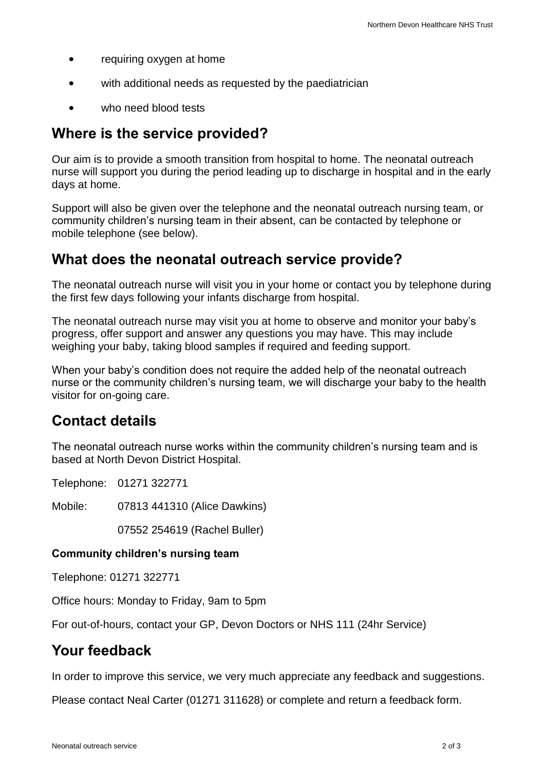- requiring oxygen at home
- with additional needs as requested by the paediatrician
- who need blood tests

#### **Where is the service provided?**

Our aim is to provide a smooth transition from hospital to home. The neonatal outreach nurse will support you during the period leading up to discharge in hospital and in the early days at home.

Support will also be given over the telephone and the neonatal outreach nursing team, or community children's nursing team in their absent, can be contacted by telephone or mobile telephone (see below).

#### **What does the neonatal outreach service provide?**

The neonatal outreach nurse will visit you in your home or contact you by telephone during the first few days following your infants discharge from hospital.

The neonatal outreach nurse may visit you at home to observe and monitor your baby's progress, offer support and answer any questions you may have. This may include weighing your baby, taking blood samples if required and feeding support.

When your baby's condition does not require the added help of the neonatal outreach nurse or the community children's nursing team, we will discharge your baby to the health visitor for on-going care.

### **Contact details**

The neonatal outreach nurse works within the community children's nursing team and is based at North Devon District Hospital.

Telephone: 01271 322771

Mobile: 07813 441310 (Alice Dawkins)

07552 254619 (Rachel Buller)

#### **Community children's nursing team**

Telephone: 01271 322771

Office hours: Monday to Friday, 9am to 5pm

For out-of-hours, contact your GP, Devon Doctors or NHS 111 (24hr Service)

#### **Your feedback**

In order to improve this service, we very much appreciate any feedback and suggestions.

Please contact Neal Carter (01271 311628) or complete and return a feedback form.